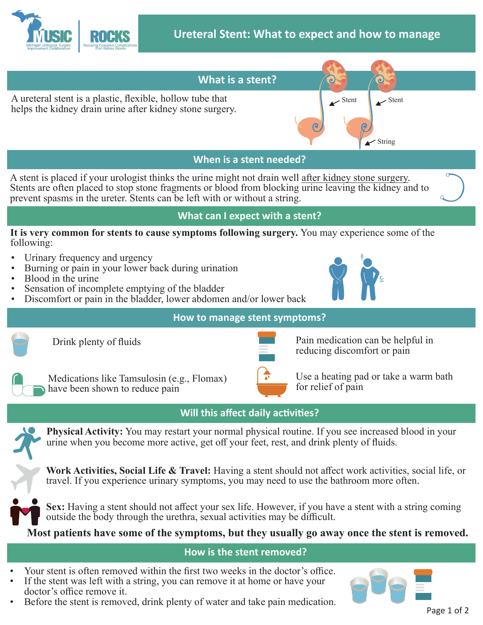



• Before the stent is removed, drink plenty of water and take pain medication.